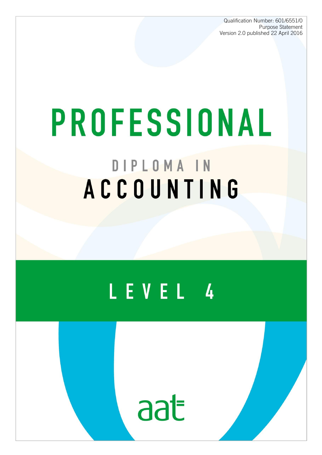Qualification Number: 601/6551/0 Purpose Statement Version 2.0 published 22 April 2016

# PROFESSIONAL DIPLOMA IN ACCOUNTING

## LEVEL 4



The AAT Professional Diploma in Accounting 1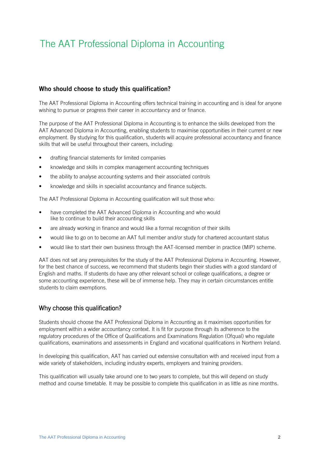### The AAT Professional Diploma in Accounting

#### **Who should choose to study this qualification?**

The AAT Professional Diploma in Accounting offers technical training in accounting and is ideal for anyone wishing to pursue or progress their career in accountancy and or finance.

The purpose of the AAT Professional Diploma in Accounting is to enhance the skills developed from the AAT Advanced Diploma in Accounting, enabling students to maximise opportunities in their current or new employment. By studying for this qualification, students will acquire professional accountancy and finance skills that will be useful throughout their careers, including:

- drafting financial statements for limited companies
- knowledge and skills in complex management accounting techniques
- the ability to analyse accounting systems and their associated controls
- knowledge and skills in specialist accountancy and finance subjects.

The AAT Professional Diploma in Accounting qualification will suit those who:

- have completed the AAT Advanced Diploma in Accounting and who would like to continue to build their accounting skills
- are already working in finance and would like a formal recognition of their skills
- would like to go on to become an AAT full member and/or study for chartered accountant status
- would like to start their own business through the AAT-licensed member in practice (MIP) scheme.

AAT does not set any prerequisites for the study of the AAT Professional Diploma in Accounting. However, for the best chance of success, we recommend that students begin their studies with a good standard of English and maths. If students do have any other relevant school or college qualifications, a degree or some accounting experience, these will be of immense help. They may in certain circumstances entitle students to claim exemptions.

#### Why choose this qualification?

Students should choose the AAT Professional Diploma in Accounting as it maximises opportunities for employment within a wider accountancy context. It is fit for purpose through its adherence to the regulatory procedures of the Office of Qualifications and Examinations Regulation (Ofqual) who regulate qualifications, examinations and assessments in England and vocational qualifications in Northern Ireland.

In developing this qualification, AAT has carried out extensive consultation with and received input from a wide variety of stakeholders, including industry experts, employers and training providers.

This qualification will usually take around one to two years to complete, but this will depend on study method and course timetable. It may be possible to complete this qualification in as little as nine months.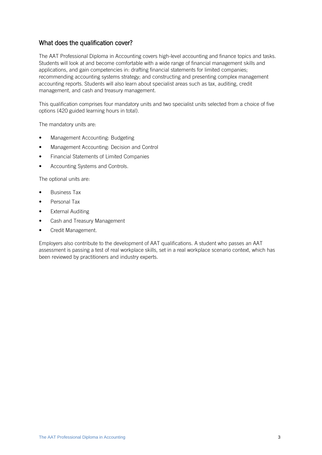#### What does the qualification cover?

The AAT Professional Diploma in Accounting covers high-level accounting and finance topics and tasks. Students will look at and become comfortable with a wide range of financial management skills and applications, and gain competencies in: drafting financial statements for limited companies; recommending accounting systems strategy; and constructing and presenting complex management accounting reports. Students will also learn about specialist areas such as tax, auditing, credit management, and cash and treasury management.

This qualification comprises four mandatory units and two specialist units selected from a choice of five options (420 guided learning hours in total).

The mandatory units are:

- Management Accounting: Budgeting
- Management Accounting: Decision and Control
- Financial Statements of Limited Companies
- Accounting Systems and Controls.

The optional units are:

- Business Tax
- Personal Tax
- External Auditing
- Cash and Treasury Management
- Credit Management.

Employers also contribute to the development of AAT qualifications. A student who passes an AAT assessment is passing a test of real workplace skills, set in a real workplace scenario context, which has been reviewed by practitioners and industry experts.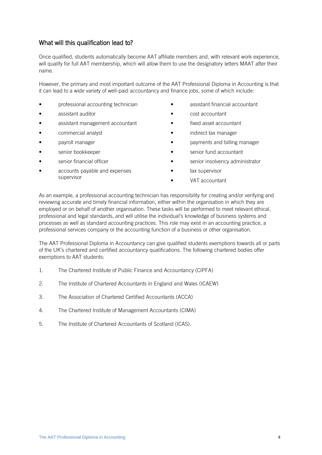#### What will this qualification lead to?

Once qualified, students automatically become AAT affiliate members and, with relevant work experience, will qualify for full AAT membership, which will allow them to use the designatory letters MAAT after their name.

However, the primary and most important outcome of the AAT Professional Diploma in Accounting is that it can lead to a wide variety of well-paid accountancy and finance jobs, some of which include:

- professional accounting technician
- assistant auditor
- assistant management accountant
- commercial analyst
- payroll manager
- senior bookkeeper
- senior financial officer
- accounts payable and expenses supervisor
- assistant financial accountant
- cost accountant
- fixed asset accountant
- indirect tax manager
- payments and billing manager
- senior fund accountant
- senior insolvency administrator
- tax supervisor
- VAT accountant

As an example, a professional accounting technician has responsibility for creating and/or verifying and reviewing accurate and timely financial information, either within the organisation in which they are employed or on behalf of another organisation. These tasks will be performed to meet relevant ethical, professional and legal standards, and will utilise the individual's knowledge of business systems and processes as well as standard accounting practices. This role may exist in an accounting practice, a professional services company or the accounting function of a business or other organisation.

The AAT Professional Diploma in Accountancy can give qualified students exemptions towards all or parts of the UK's chartered and certified accountancy qualifications. The following chartered bodies offer exemptions to AAT students:

- 1. The Chartered Institute of Public Finance and Accountancy (CIPFA)
- 2. The Institute of Chartered Accountants in England and Wales (ICAEW)
- 3. The Association of Chartered Certified Accountants (ACCA)
- 4. The Chartered Institute of Management Accountants (CIMA)
- 5. The Institute of Chartered Accountants of Scotland (ICAS).